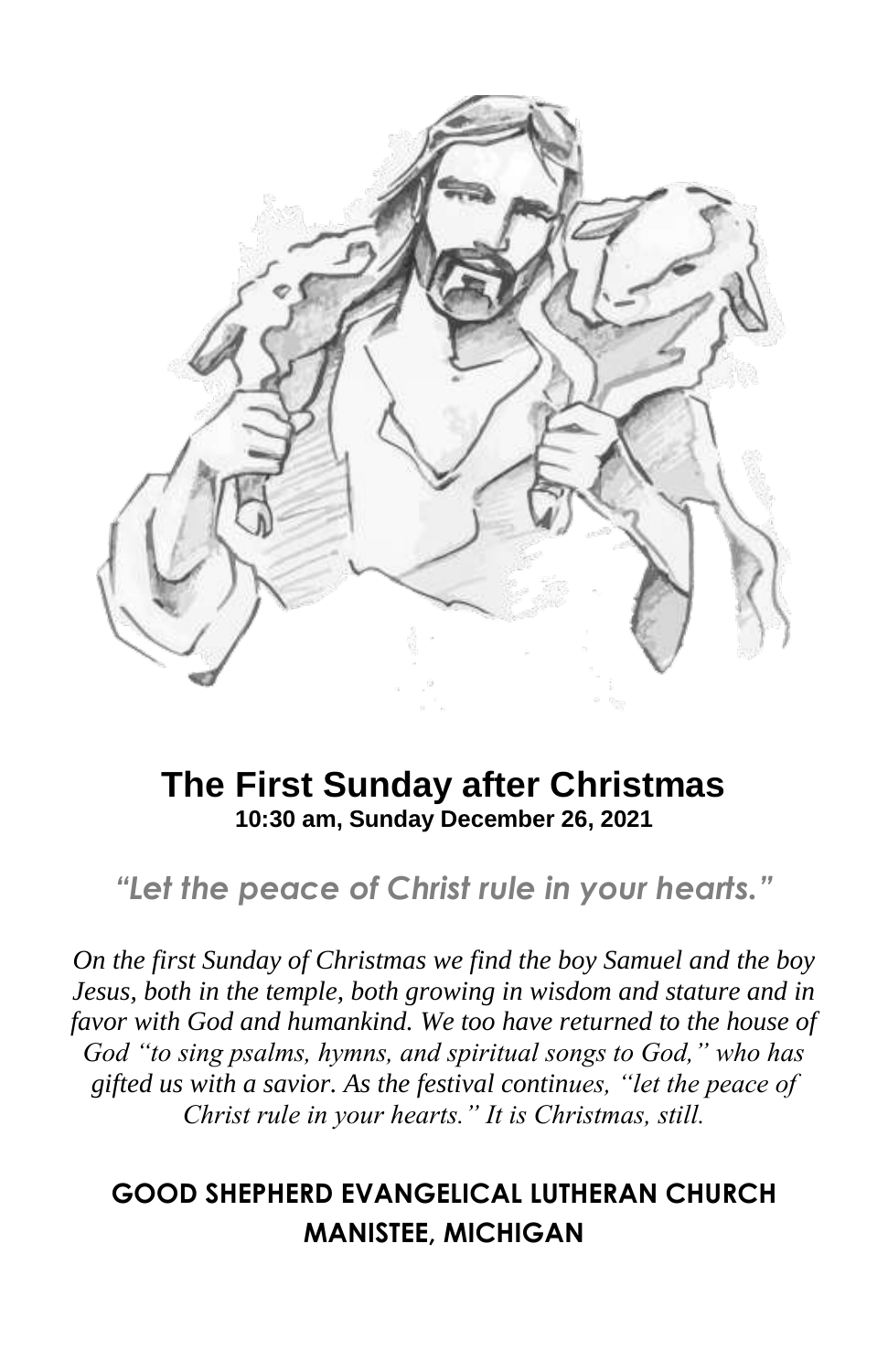

## **The First Sunday after Christmas 10:30 am, Sunday December 26, 2021**

*"Let the peace of Christ rule in your hearts."*

*On the first Sunday of Christmas we find the boy Samuel and the boy Jesus, both in the temple, both growing in wisdom and stature and in favor with God and humankind. We too have returned to the house of God "to sing psalms, hymns, and spiritual songs to God," who has gifted us with a savior. As the festival continues, "let the peace of Christ rule in your hearts." It is Christmas, still.*

## **GOOD SHEPHERD EVANGELICAL LUTHERAN CHURCH MANISTEE, MICHIGAN**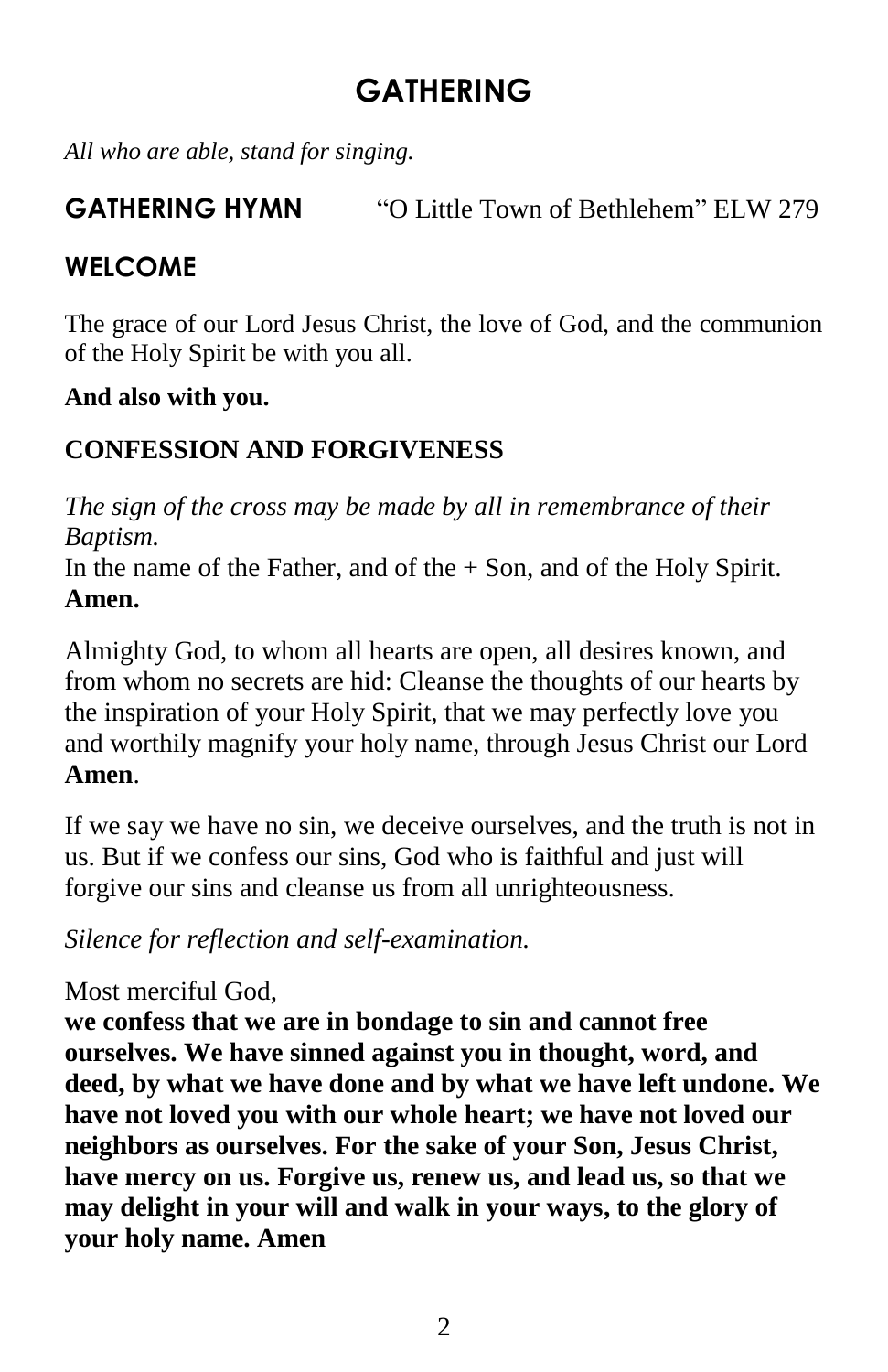# **GATHERING**

*All who are able, stand for singing.*

## **GATHERING HYMN** "O Little Town of Bethlehem" ELW 279

## **WELCOME**

The grace of our Lord Jesus Christ, the love of God, and the communion of the Holy Spirit be with you all.

#### **And also with you.**

## **CONFESSION AND FORGIVENESS**

*The sign of the cross may be made by all in remembrance of their Baptism.*

In the name of the Father, and of the  $+$  Son, and of the Holy Spirit. **Amen.**

Almighty God, to whom all hearts are open, all desires known, and from whom no secrets are hid: Cleanse the thoughts of our hearts by the inspiration of your Holy Spirit, that we may perfectly love you and worthily magnify your holy name, through Jesus Christ our Lord **Amen**.

If we say we have no sin, we deceive ourselves, and the truth is not in us. But if we confess our sins, God who is faithful and just will forgive our sins and cleanse us from all unrighteousness.

*Silence for reflection and self-examination.*

#### Most merciful God,

**we confess that we are in bondage to sin and cannot free ourselves. We have sinned against you in thought, word, and deed, by what we have done and by what we have left undone. We have not loved you with our whole heart; we have not loved our neighbors as ourselves. For the sake of your Son, Jesus Christ, have mercy on us. Forgive us, renew us, and lead us, so that we may delight in your will and walk in your ways, to the glory of your holy name. Amen**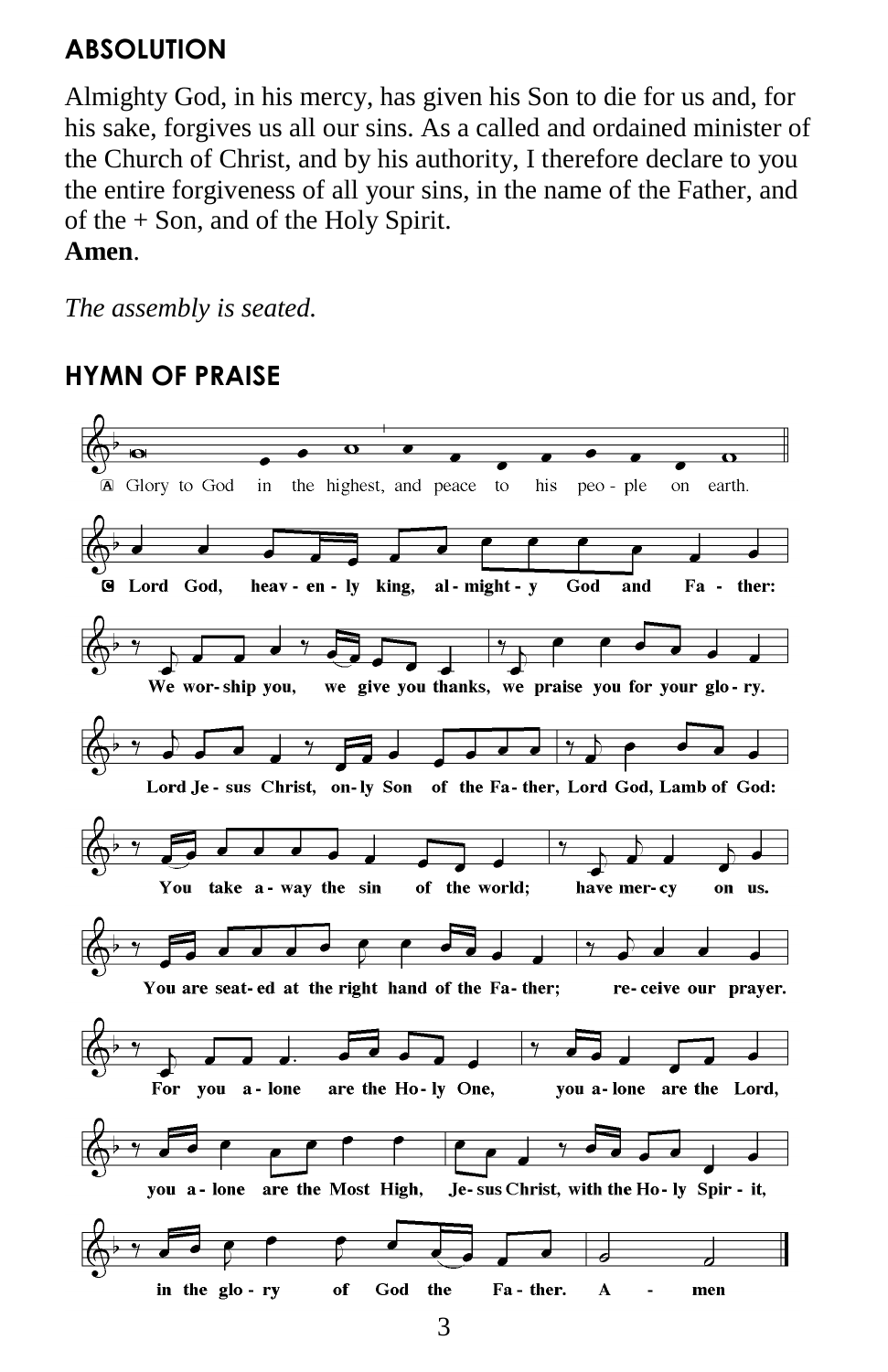## **ABSOLUTION**

Almighty God, in his mercy, has given his Son to die for us and, for his sake, forgives us all our sins. As a called and ordained minister of the Church of Christ, and by his authority, I therefore declare to you the entire forgiveness of all your sins, in the name of the Father, and of the + Son, and of the Holy Spirit.

**Amen**.

*The assembly is seated.*

## **HYMN OF PRAISE**



3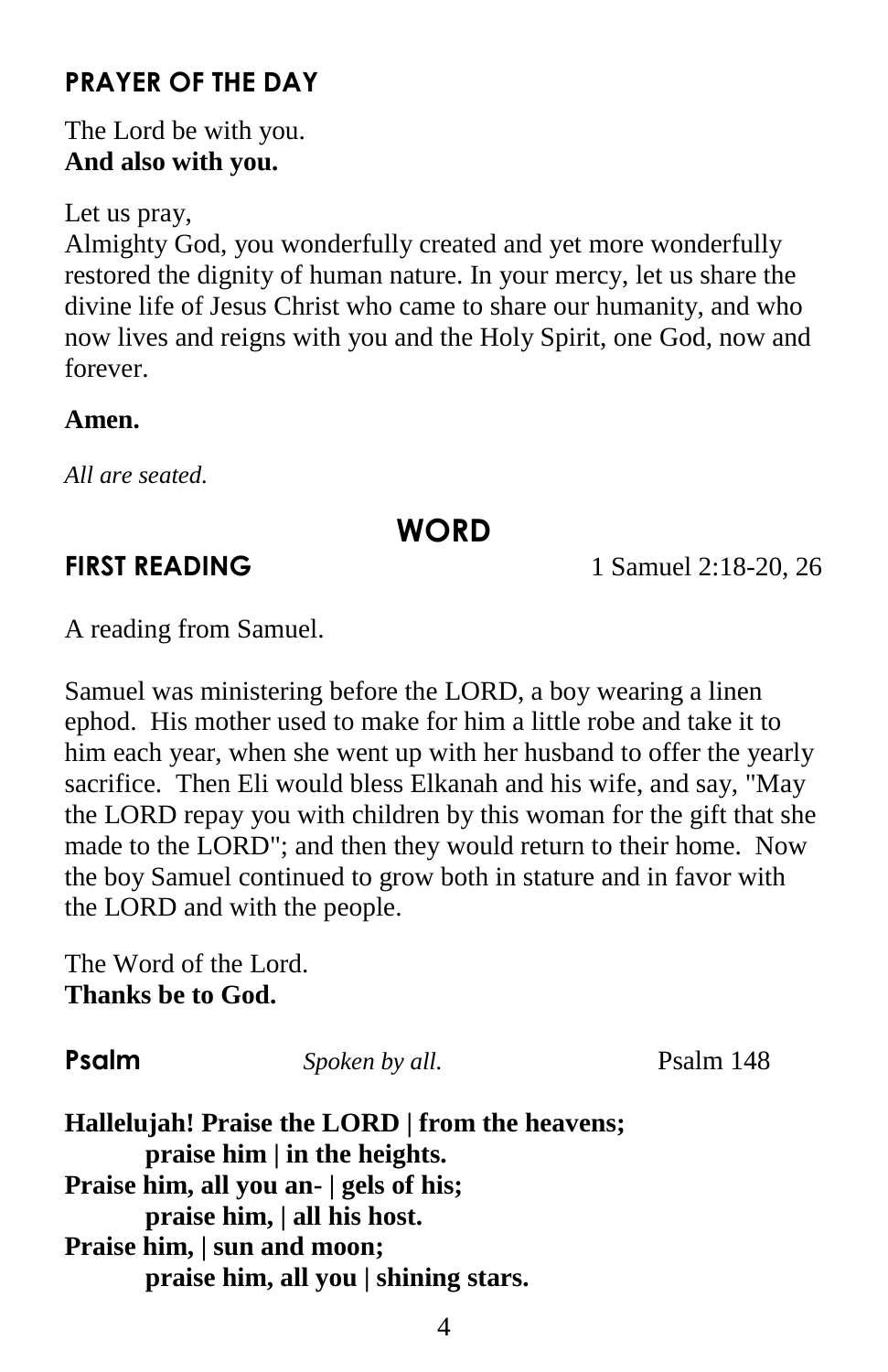## **PRAYER OF THE DAY**

The Lord be with you. **And also with you.**

Let us pray,

Almighty God, you wonderfully created and yet more wonderfully restored the dignity of human nature. In your mercy, let us share the divine life of Jesus Christ who came to share our humanity, and who now lives and reigns with you and the Holy Spirit, one God, now and forever.

#### **Amen.**

*All are seated.*

## **WORD**

**FIRST READING** 1 Samuel 2:18-20, 26

A reading from Samuel.

Samuel was ministering before the LORD, a boy wearing a linen ephod. His mother used to make for him a little robe and take it to him each year, when she went up with her husband to offer the yearly sacrifice. Then Eli would bless Elkanah and his wife, and say, "May the LORD repay you with children by this woman for the gift that she made to the LORD"; and then they would return to their home. Now the boy Samuel continued to grow both in stature and in favor with the LORD and with the people.

The Word of the Lord. **Thanks be to God.**

**Psalm** *Spoken by all.* Psalm 148

**Hallelujah! Praise the LORD | from the heavens; praise him | in the heights. Praise him, all you an- | gels of his; praise him, | all his host. Praise him, | sun and moon; praise him, all you | shining stars.**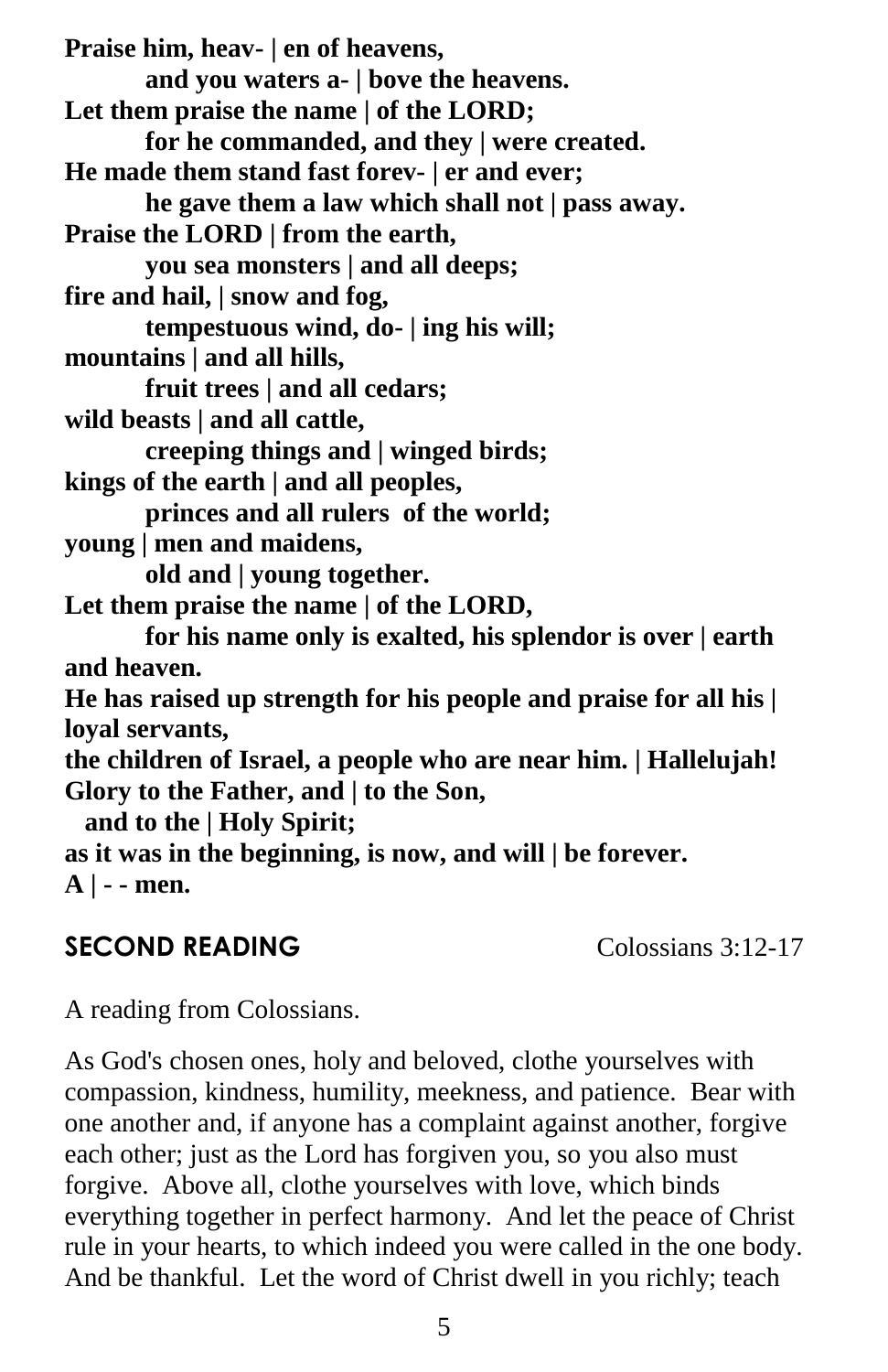**Praise him, heav- | en of heavens, and you waters a- | bove the heavens. Let them praise the name | of the LORD; for he commanded, and they | were created. He made them stand fast forev- | er and ever; he gave them a law which shall not | pass away. Praise the LORD | from the earth, you sea monsters | and all deeps; fire and hail, | snow and fog, tempestuous wind, do- | ing his will; mountains | and all hills, fruit trees | and all cedars; wild beasts | and all cattle, creeping things and | winged birds; kings of the earth | and all peoples, princes and all rulers of the world; young | men and maidens, old and | young together. Let them praise the name | of the LORD, for his name only is exalted, his splendor is over | earth and heaven. He has raised up strength for his people and praise for all his | loyal servants, the children of Israel, a people who are near him. | Hallelujah! Glory to the Father, and | to the Son, and to the | Holy Spirit; as it was in the beginning, is now, and will | be forever. A | - - men.**

#### **SECOND READING** Colossians 3:12-17

A reading from Colossians.

As God's chosen ones, holy and beloved, clothe yourselves with compassion, kindness, humility, meekness, and patience. Bear with one another and, if anyone has a complaint against another, forgive each other; just as the Lord has forgiven you, so you also must forgive. Above all, clothe yourselves with love, which binds everything together in perfect harmony. And let the peace of Christ rule in your hearts, to which indeed you were called in the one body. And be thankful. Let the word of Christ dwell in you richly; teach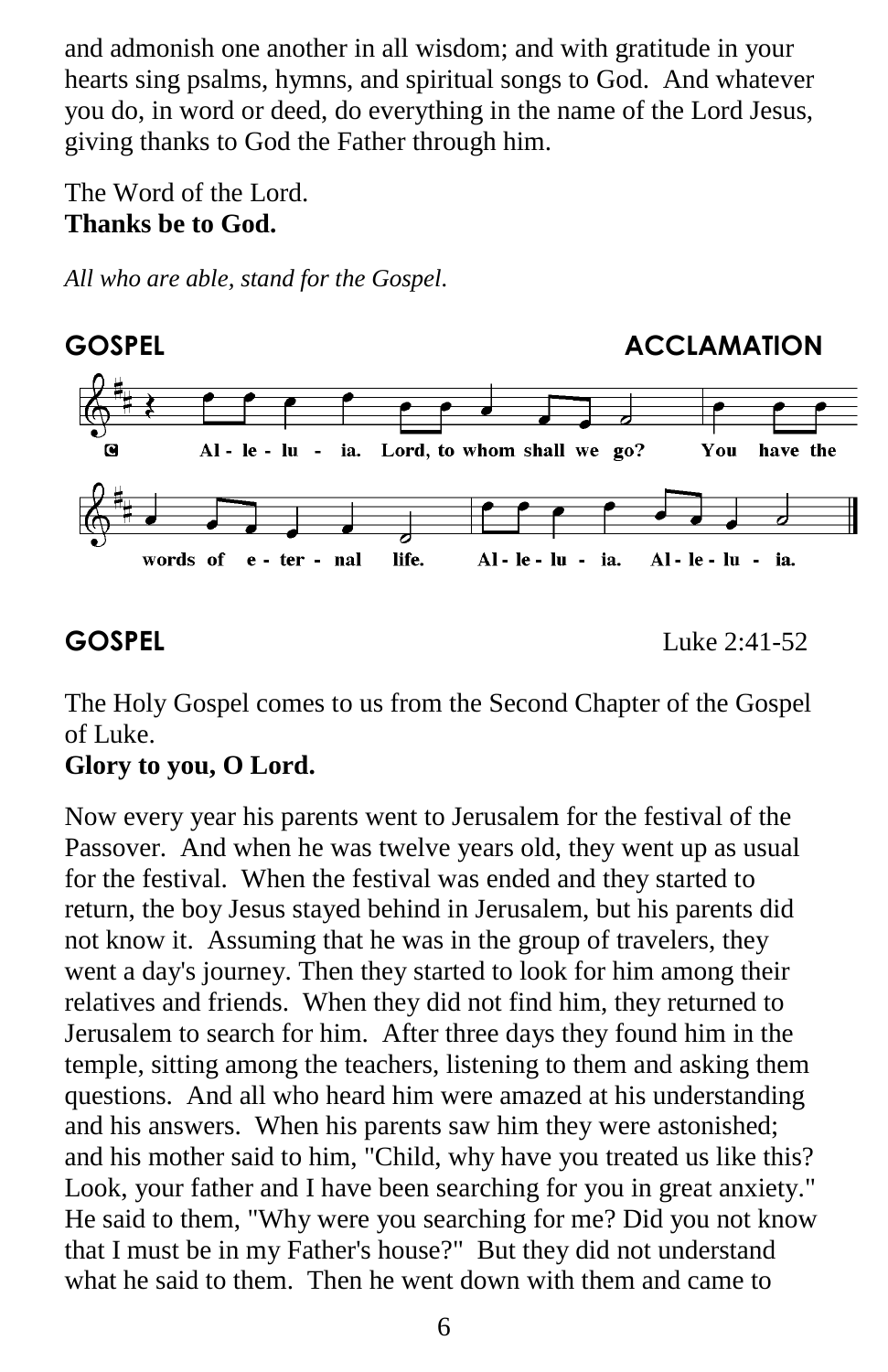and admonish one another in all wisdom; and with gratitude in your hearts sing psalms, hymns, and spiritual songs to God. And whatever you do, in word or deed, do everything in the name of the Lord Jesus, giving thanks to God the Father through him.

The Word of the Lord. **Thanks be to God.**

*All who are able, stand for the Gospel.*



**GOSPEL** Luke 2:41-52

The Holy Gospel comes to us from the Second Chapter of the Gospel of Luke.

## **Glory to you, O Lord.**

Now every year his parents went to Jerusalem for the festival of the Passover. And when he was twelve years old, they went up as usual for the festival. When the festival was ended and they started to return, the boy Jesus stayed behind in Jerusalem, but his parents did not know it. Assuming that he was in the group of travelers, they went a day's journey. Then they started to look for him among their relatives and friends. When they did not find him, they returned to Jerusalem to search for him. After three days they found him in the temple, sitting among the teachers, listening to them and asking them questions. And all who heard him were amazed at his understanding and his answers. When his parents saw him they were astonished; and his mother said to him, "Child, why have you treated us like this? Look, your father and I have been searching for you in great anxiety." He said to them, "Why were you searching for me? Did you not know that I must be in my Father's house?" But they did not understand what he said to them. Then he went down with them and came to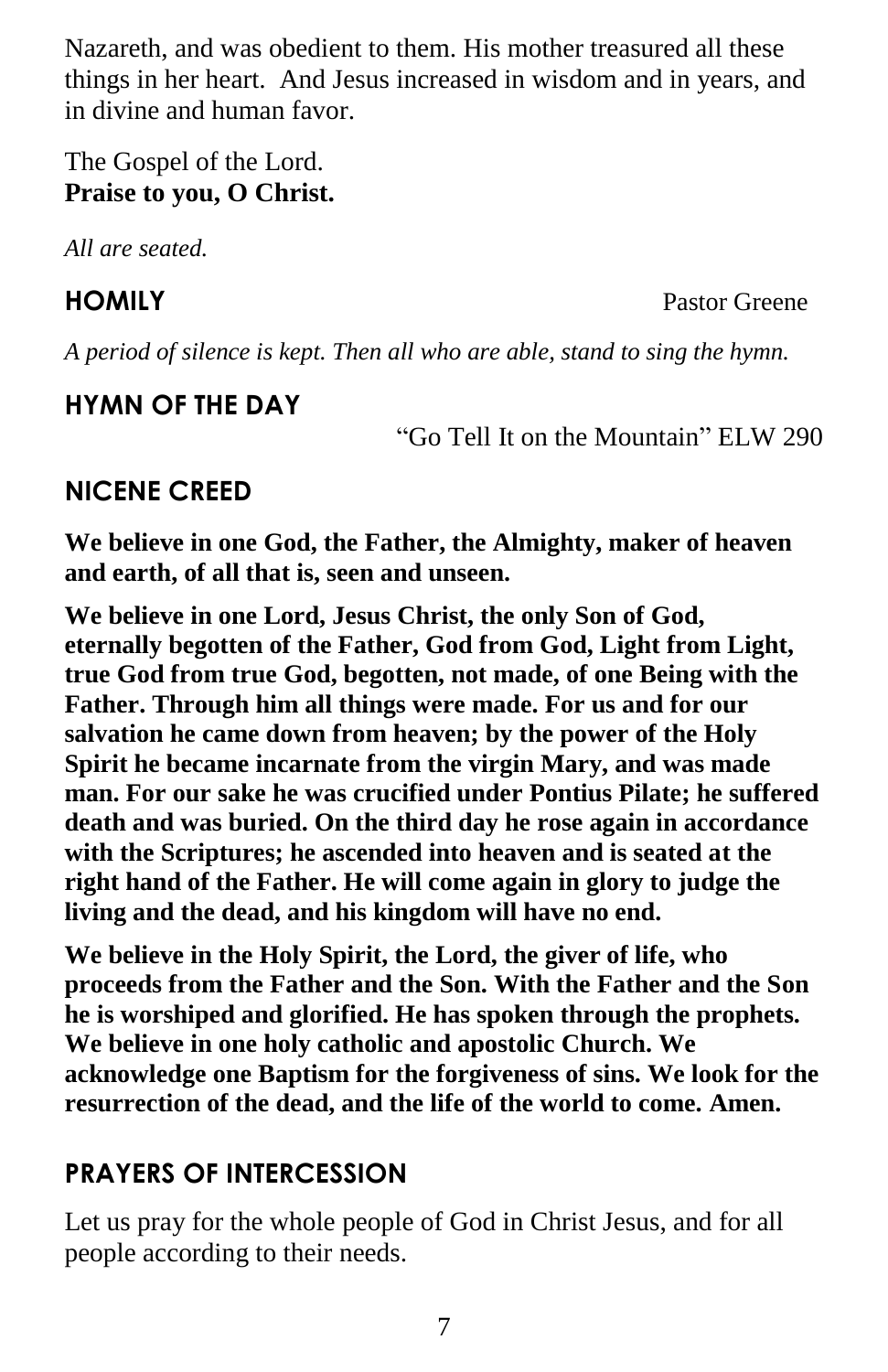Nazareth, and was obedient to them. His mother treasured all these things in her heart. And Jesus increased in wisdom and in years, and in divine and human favor.

The Gospel of the Lord. **Praise to you, O Christ.**

*All are seated.*

**HOMILY** Pastor Greene

*A period of silence is kept. Then all who are able, stand to sing the hymn.*

## **HYMN OF THE DAY**

"Go Tell It on the Mountain" ELW 290

## **NICENE CREED**

**We believe in one God, the Father, the Almighty, maker of heaven and earth, of all that is, seen and unseen.**

**We believe in one Lord, Jesus Christ, the only Son of God, eternally begotten of the Father, God from God, Light from Light, true God from true God, begotten, not made, of one Being with the Father. Through him all things were made. For us and for our salvation he came down from heaven; by the power of the Holy Spirit he became incarnate from the virgin Mary, and was made man. For our sake he was crucified under Pontius Pilate; he suffered death and was buried. On the third day he rose again in accordance with the Scriptures; he ascended into heaven and is seated at the right hand of the Father. He will come again in glory to judge the living and the dead, and his kingdom will have no end.** 

**We believe in the Holy Spirit, the Lord, the giver of life, who proceeds from the Father and the Son. With the Father and the Son he is worshiped and glorified. He has spoken through the prophets. We believe in one holy catholic and apostolic Church. We acknowledge one Baptism for the forgiveness of sins. We look for the resurrection of the dead, and the life of the world to come. Amen.**

## **PRAYERS OF INTERCESSION**

Let us pray for the whole people of God in Christ Jesus, and for all people according to their needs.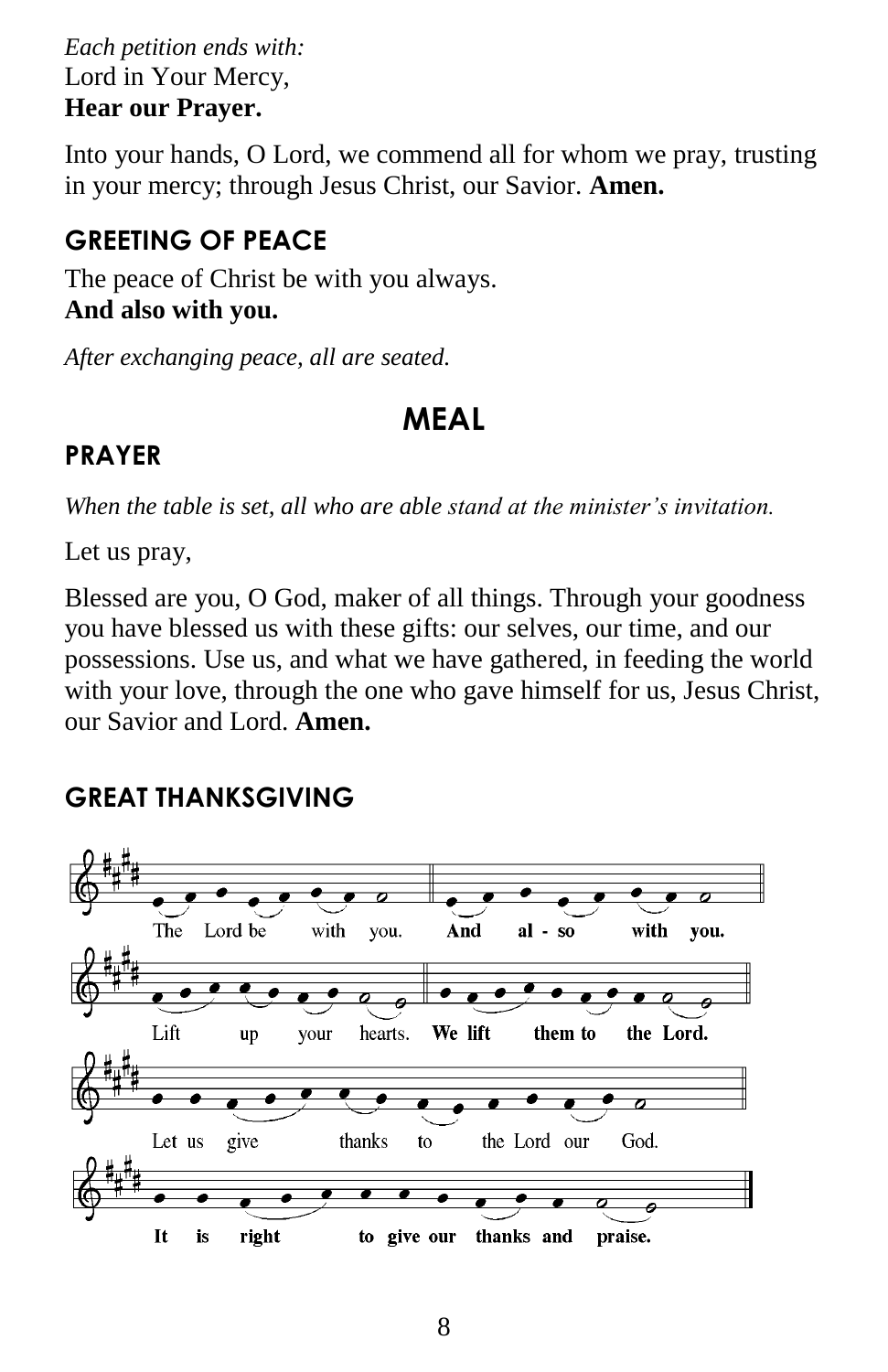*Each petition ends with:* Lord in Your Mercy, **Hear our Prayer.**

Into your hands, O Lord, we commend all for whom we pray, trusting in your mercy; through Jesus Christ, our Savior. **Amen.**

## **GREETING OF PEACE**

The peace of Christ be with you always. **And also with you.**

*After exchanging peace, all are seated.*

# **MEAL**

## **PRAYER**

*When the table is set, all who are able stand at the minister's invitation.*

Let us pray,

Blessed are you, O God, maker of all things. Through your goodness you have blessed us with these gifts: our selves, our time, and our possessions. Use us, and what we have gathered, in feeding the world with your love, through the one who gave himself for us, Jesus Christ, our Savior and Lord. **Amen.**

## **GREAT THANKSGIVING**

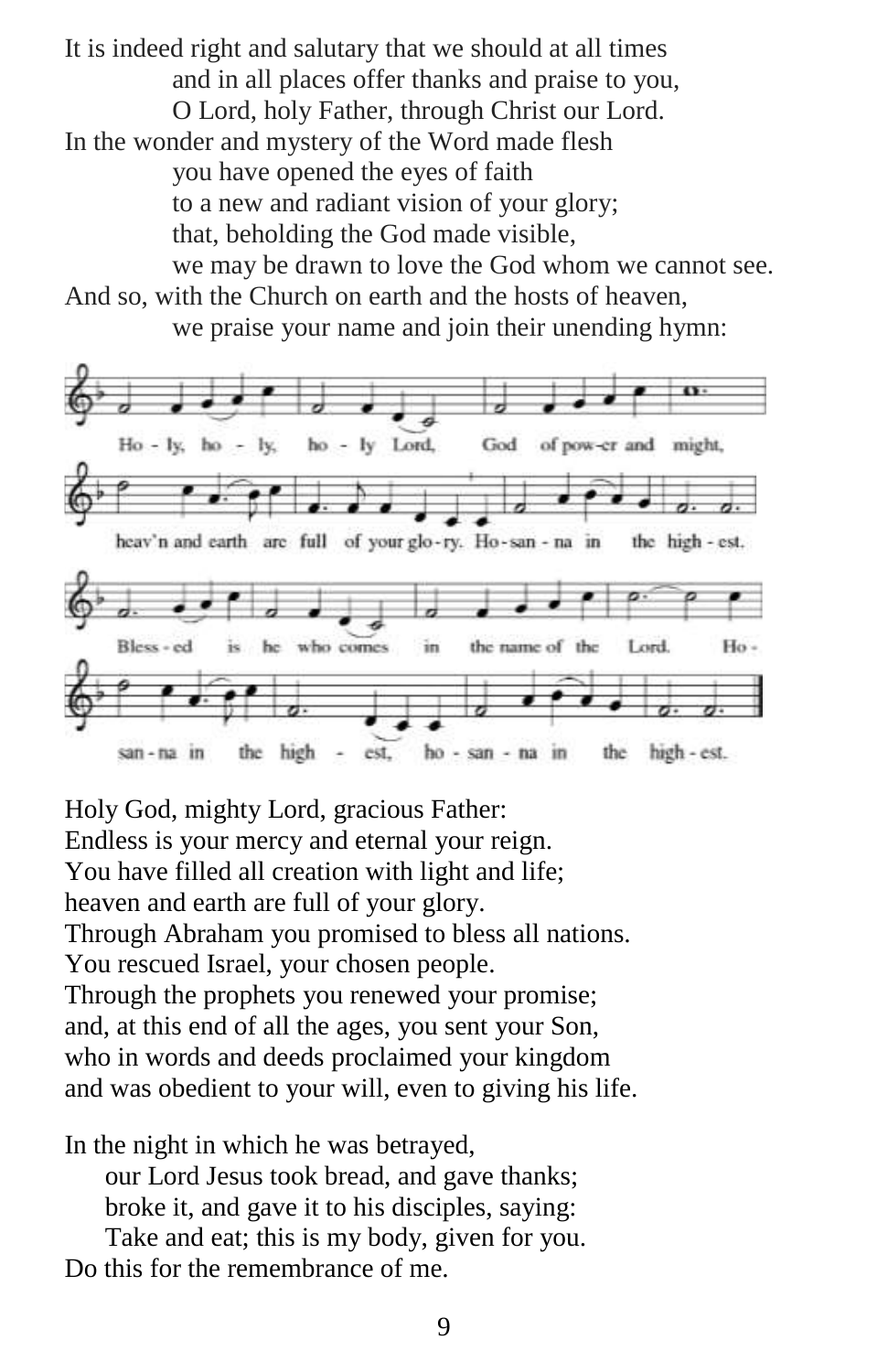It is indeed right and salutary that we should at all times and in all places offer thanks and praise to you, O Lord, holy Father, through Christ our Lord. In the wonder and mystery of the Word made flesh you have opened the eyes of faith to a new and radiant vision of your glory; that, beholding the God made visible, we may be drawn to love the God whom we cannot see.

And so, with the Church on earth and the hosts of heaven, we praise your name and join their unending hymn:



Holy God, mighty Lord, gracious Father: Endless is your mercy and eternal your reign. You have filled all creation with light and life; heaven and earth are full of your glory. Through Abraham you promised to bless all nations. You rescued Israel, your chosen people. Through the prophets you renewed your promise; and, at this end of all the ages, you sent your Son, who in words and deeds proclaimed your kingdom and was obedient to your will, even to giving his life.

In the night in which he was betrayed, our Lord Jesus took bread, and gave thanks; broke it, and gave it to his disciples, saying:

Take and eat; this is my body, given for you.

Do this for the remembrance of me.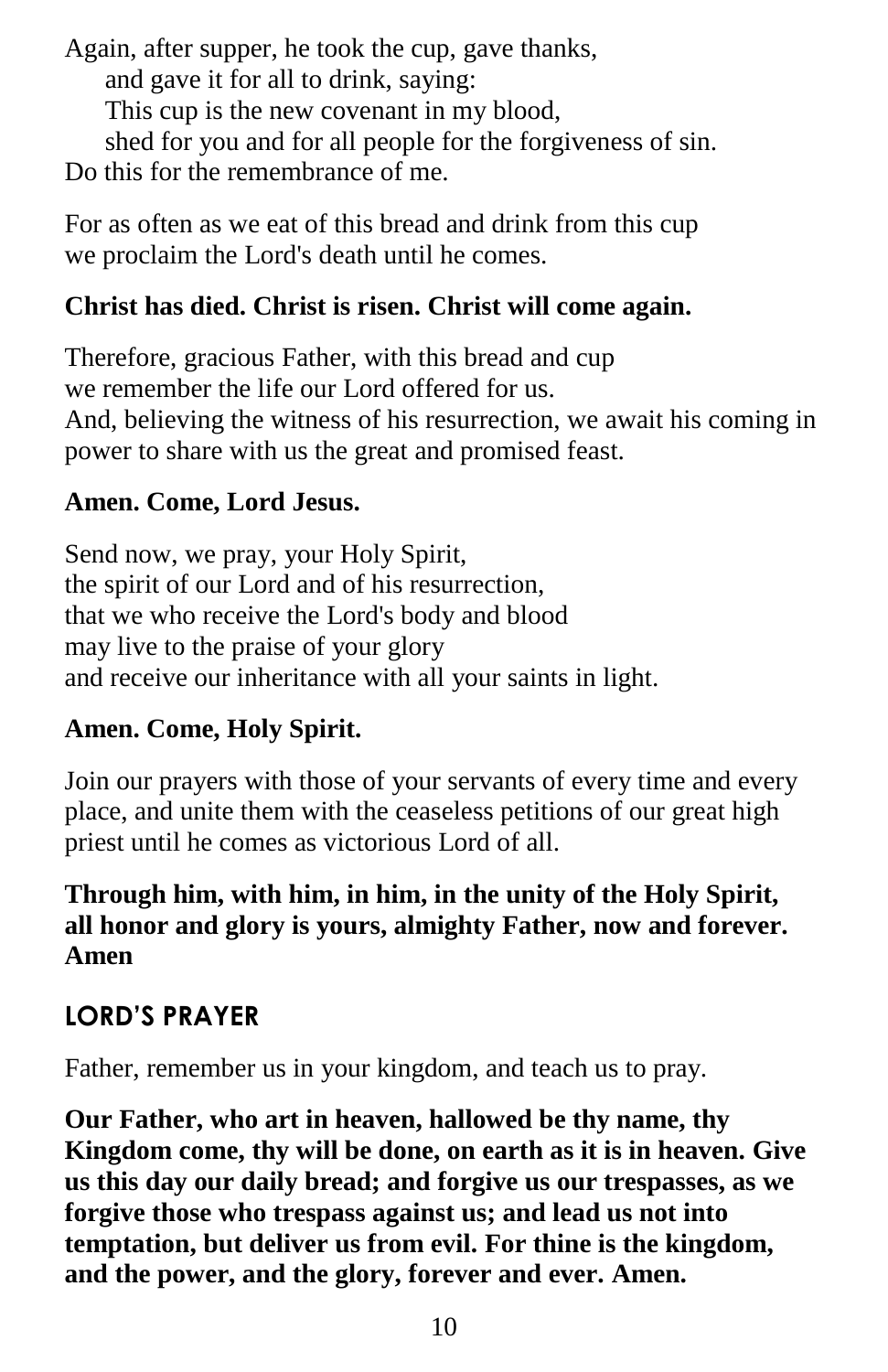Again, after supper, he took the cup, gave thanks, and gave it for all to drink, saying: This cup is the new covenant in my blood, shed for you and for all people for the forgiveness of sin. Do this for the remembrance of me.

For as often as we eat of this bread and drink from this cup we proclaim the Lord's death until he comes.

## **Christ has died. Christ is risen. Christ will come again.**

Therefore, gracious Father, with this bread and cup we remember the life our Lord offered for us. And, believing the witness of his resurrection, we await his coming in power to share with us the great and promised feast.

## **Amen. Come, Lord Jesus.**

Send now, we pray, your Holy Spirit, the spirit of our Lord and of his resurrection, that we who receive the Lord's body and blood may live to the praise of your glory and receive our inheritance with all your saints in light.

## **Amen. Come, Holy Spirit.**

Join our prayers with those of your servants of every time and every place, and unite them with the ceaseless petitions of our great high priest until he comes as victorious Lord of all.

## **Through him, with him, in him, in the unity of the Holy Spirit, all honor and glory is yours, almighty Father, now and forever. Amen**

## **LORD'S PRAYER**

Father, remember us in your kingdom, and teach us to pray.

**Our Father, who art in heaven, hallowed be thy name, thy Kingdom come, thy will be done, on earth as it is in heaven. Give us this day our daily bread; and forgive us our trespasses, as we forgive those who trespass against us; and lead us not into temptation, but deliver us from evil. For thine is the kingdom, and the power, and the glory, forever and ever. Amen.**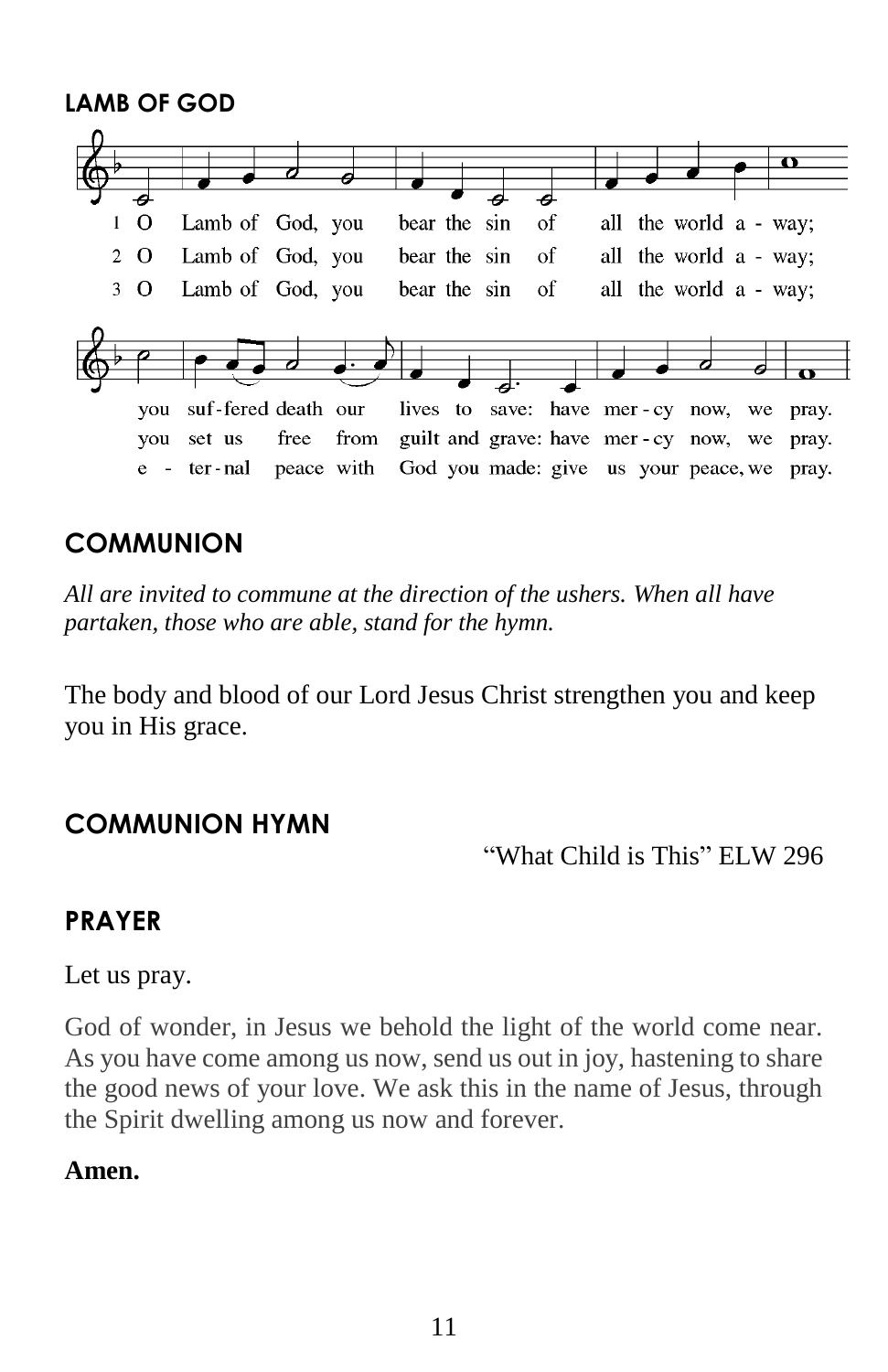**LAMB OF GOD**  Lamb of God, you bear the sin all the world a - way;  $1\quad\Omega$ of  $2\Omega$ Lamb of God, you bear the sin  $\alpha$ f all the world a - way; Lamb of God, you all the world a - way;  $3\Omega$ bear the sin of you suf-fered death our lives to save: have mer-cy now, we pray. you set us from guilt and grave: have mer-cy now, we pray. free e - ter-nal peace with God you made: give us your peace, we pray.

## **COMMUNION**

*All are invited to commune at the direction of the ushers. When all have partaken, those who are able, stand for the hymn.*

The body and blood of our Lord Jesus Christ strengthen you and keep you in His grace.

## **COMMUNION HYMN**

"What Child is This" ELW 296

## **PRAYER**

Let us pray.

God of wonder, in Jesus we behold the light of the world come near. As you have come among us now, send us out in joy, hastening to share the good news of your love. We ask this in the name of Jesus, through the Spirit dwelling among us now and forever.

## **Amen.**